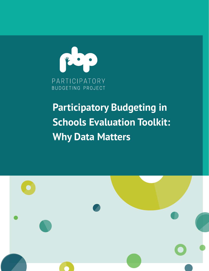

# **Schools Evaluation Toolkit: Participatory Budgeting in Why Data Matters**

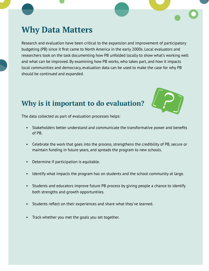### **Why Data Matters**

Research and evaluation have been critical to the expansion and improvement of participatory budgeting (PB) since it first came to North America in the early 2000s. Local evaluators and researchers took on the task documenting how PB unfolded locally to show what's working well and what can be improved. By examining how PB works, who takes part, and how it impacts local communities and democracy, evaluation data can be used to make the case for why PB should be continued and expanded.

#### **Why is it important to do evaluation?**



The data collected as part of evaluation processes helps:

- Stakeholders better understand and communicate the transformative power and benefits of PB.
- Celebrate the work that goes into the process, strengthens the credibility of PB, secure or maintain funding in future years, and spreads the program to new schools.
- Determine if participation is equitable.
- Identify what impacts the program has on students and the school community at large.
- Students and educators improve future PB process by giving people a chance to identify both strengths and growth opportuntiies.
- Students reflect on their experiences and share what they've learned.
- Track whether you met the goals you set together.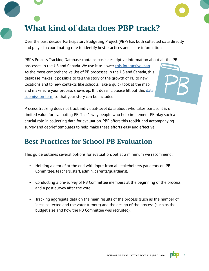## **What kind of data does PBP track?**

Over the past decade, Participatory Budgeting Project (PBP) has both collected data directly and played a coordinating role to identify best practices and share information.

PBP's Process Tracking Database contains basic descriptive information about all the PB

processes in the US and Canada. We use it to power [this interactive map](https://pbpmaps.carto.com/builder/8246bbbd-33c6-4fce-a26a-a241adb29e6d/embed). As the most comprehensive list of PB processes in the US and Canada, this database makes it possible to tell the story of the growth of PB to new locations and to new contexts like schools. Take a quick look at the map and make sure your process shows up. If it doesn't, please fill out this [data](https://docs.google.com/forms/d/e/1FAIpQLSeYQsO57FA0qV0qLH72VCm4qdwTIHiUfpD6EJGTG46B878Weg/viewform)  [submission form](https://docs.google.com/forms/d/e/1FAIpQLSeYQsO57FA0qV0qLH72VCm4qdwTIHiUfpD6EJGTG46B878Weg/viewform) so that your story can be included.

Process tracking does not track individual-level data about who takes part, so it is of limited value for evaluating PB. That's why people who help implement PB play such a crucial role in collecting data for evaluation. PBP offers this toolkit and accompanying survey and debrief templates to help make these efforts easy and effective.

### **Best Practices for School PB Evaluation**

This guide outlines several options for evaluation, but at a minimum we recommend:

- Holding a debrief at the end with input from all stakeholders (students on PB Committee, teachers, staff, admin, parents/guardians).
- Conducting a pre-survey of PB Committee members at the beginning of the process and a post-survey after the vote.
- Tracking aggregate data on the main results of the process (such as the number of ideas collected and the voter turnout) and the design of the process (such as the budget size and how the PB Committee was recruited).

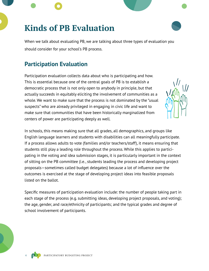### **Kinds of PB Evaluation**

When we talk about evaluating PB, we are talking about three types of evaluation you should consider for your school's PB process.

#### **Participation Evaluation**

Participation evaluation collects data about who is participating and how. This is essential because one of the central goals of PB is to establish a democratic process that is not only open to anybody in principle, but that actually succeeds in equitably eliciting the involvement of communities as a whole. We want to make sure that the process is not dominated by the "usual suspects" who are already privileged in engaging in civic life and want to make sure that communities that have been historically marginalized from centers of power are participating deeply as well.



In schools, this means making sure that all grades, all demographics, and groups like English language learners and students with disabilities can all meaningfully participate. If a process allows adults to vote (families and/or teachers/staff), it means ensuring that students still play a leading role throughout the process. While this applies to participating in the voting and idea submission stages, it is particularly important in the context of sitting on the PB committee (i.e., students leading the process and developing project proposals—sometimes called budget delegates) because a lot of influence over the outcomes is exercised at the stage of developing project ideas into feasible proposals listed on the ballot.

Specific measures of participation evaluation include: the number of people taking part in each stage of the process (e.g. submitting ideas, developing project proposals, and voting); the age, gender, and race/ethnicity of participants; and the typical grades and degree of school involvement of participants.

PARTICIPATORY BUDGETING PROJECT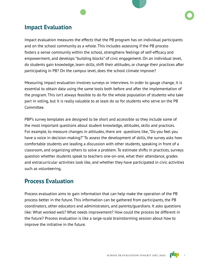#### **Impact Evaluation**

Impact evaluation measures the effects that the PB program has on individual participants and on the school community as a whole. This includes assessing if the PB process fosters a sense community within the school, strengthens feelings of self-efficacy and empowerment, and develops "building blocks" of civic engagement. On an individual level, do students gain knowledge, learn skills, shift their attitudes, or change their practices after participating in PB? On the campus level, does the school climate improve?

Measuring impact evaluation involves surveys or interviews. In order to gauge change, it is essential to obtain data using the same tools both before and after the implementation of the program. This isn't always feasible to do for the whole population of students who take part in voting, but it is really valuable to at least do so for students who serve on the PB Committee.

PBP's survey templates are designed to be short and accessible so they include some of the most important questions about student knowledge, attitudes, skills and practices. For example, to measure changes in attitudes, there are questions like, "Do you feel you have a voice in decision-making?" To assess the development of skills, the survey asks how comfortable students are leading a discussion with other students, speaking in front of a classroom, and organizing others to solve a problem. To estimate shifts in practices, surveys question whether students speak to teachers one-on-one, what their attendance, grades and extracurricular activities look like, and whether they have participated in civic activities such as volunteering.

#### **Process Evaluation**

Process evaluation aims to gain information that can help make the operation of the PB process better in the future. This information can be gathered from participants, the PB coordinators, other educators and administrators, and parents/guardians. It asks questions like: What worked well? What needs improvement? How could the process be different in the future? Process evaluation is like a large-scale brainstorming session about how to improve the initiative in the future.



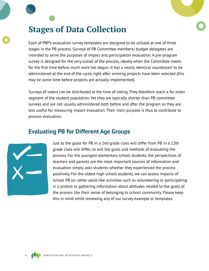### **Stages of Data Collection**

Each of PBP's evaluation survey templates are designed to be utilized at one of three stages in the PB process. Surveys of PB Committee members/ budget delegates are intended to serve the purposes of impact and participation evaluation. A pre-program survey is designed for the very outset of the process, ideally when the Committee meets for the first time before much work has begun. It has a nearly identical counterpart to be administered at the end of the cycle, right after winning projects have been selected (this may be some time before projects are actually implemented).

Surveys of voters can be distributed at the time of voting. They therefore reach a far wider segment of the student population. Yet they are typically shorter than PB committee surveys and are not usually administered both before and after the program so they are less useful for measuring impact evaluation. Their main purpose is thus to contribute to process evaluation.

#### **Evaluating PB for Different Age Groups**



Just as the goals for PB in a 2nd grade class will differ from PB in a 12th grade class will differ, so will the goals and methods of evaluating the process. For the youngest elementary school students, the perspectives of teachers and parents are the most important sources of information and evaluation simply asks students whether they experienced the process positively. For the oldest high school students, we can assess impacts of school PB on rather adult-like activities such as volunteering or participating in a protest or gathering information about attitudes related to the goals of the process like their sense of belonging to school community. Please keep this in mind while reviewing any of our survey example or templates.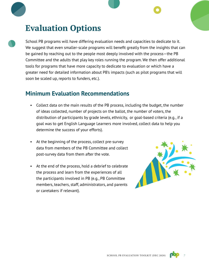### **Evaluation Options**

School PB programs will have differing evaluation needs and capacities to dedicate to it. We suggest that even smaller-scale programs will benefit greatly from the insights that can be gained by reaching out to the people most deeply involved with the process—the PB Committee and the adults that play key roles running the program. We then offer additional tools for programs that have more capacity to dedicate to evaluation or which have a greater need for detailed information about PB's impacts (such as pilot programs that will soon be scaled up, reports to funders, etc.).

#### **Minimum Evaluation Recommendations**

- Collect data on the main results of the PB process, including the budget, the number of ideas collected, number of projects on the ballot, the number of voters, the distribution of participants by grade levels, ethnicity, or goal-based criteria (e.g., if a goal was to get English Language Learners more involved, collect data to help you determine the success of your efforts).
- At the beginning of the process, collect pre-survey data from members of the PB Committee and collect post-survey data from them after the vote.
- At the end of the process, hold a debrief to celebrate the process and learn from the experiences of all the participants involved in PB (e.g., PB Committee members, teachers, staff, administrators, and parents or caretakers if relevant).



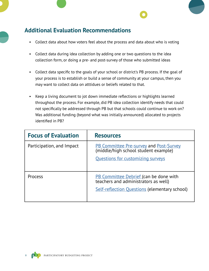#### **Additional Evaluation Recommendations**

- Collect data about how voters feel about the process and data about who is voting
- Collect data during idea collection by adding one or two questions to the idea collection form, or doing a pre- and post-survey of those who submitted ideas
- Collect data specific to the goals of your school or district's PB process. If the goal of your process is to establish or build a sense of community at your campus, then you may want to collect data on atttidues or beliefs related to that.
- Keep a living document to jot down immediate reflections or highlights learned throughout the process. For example, did PB idea collection identify needs that could not specifically be addressed through PB but that schools could continue to work on? Was additional funding (beyond what was initially announced) allocated to projects identified in PB?

| <b>Focus of Evaluation</b> | <b>Resources</b>                                                                                                                              |
|----------------------------|-----------------------------------------------------------------------------------------------------------------------------------------------|
| Participation, and Impact  | PB Committee Pre-survey and Post-Survey<br>(middle/high school student example)<br><b>Questions for customizing surveys</b>                   |
| Process                    | <b>PB Committee Debrief (can be done with</b><br>teachers and administrators as well)<br><b>Self-reflection Questions (elementary school)</b> |

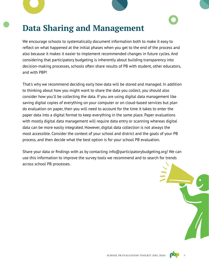### **Data Sharing and Management**

We encourage schools to systematically document information both to make it easy to reflect on what happened at the initial phases when you get to the end of the process and also because it makes it easier to implement recommended changes in future cycles. And considering that participatory budgeting is inherently about building transparency into decision-making processes, schools often share results of PB with student, other educators, and with PBP!

That's why we recommend deciding early how data will be stored and managed. In addition to thinking about how you might want to share the data you collect, you should also consider how you'll be collecting the data. If you are using digital data management like saving digital copies of everything on your computer or on cloud-based services but plan do evaluation on paper, then you will need to account for the time it takes to enter the paper data into a digital format to keep everything in the same place. Paper evaluations with mostly digital data management will require data entry or scanning whereas digital data can be more easily integrated. However, digital data collection is not always the most accessible. Consider the context of your school and district and the goals of your PB process, and then decide what the best option is for your school PB evaluation.

Share your data or findings with as by contacting info@participatorybudgeting.org! We can use this information to improve the survey tools we recommend and to search for trends across school PB processes.